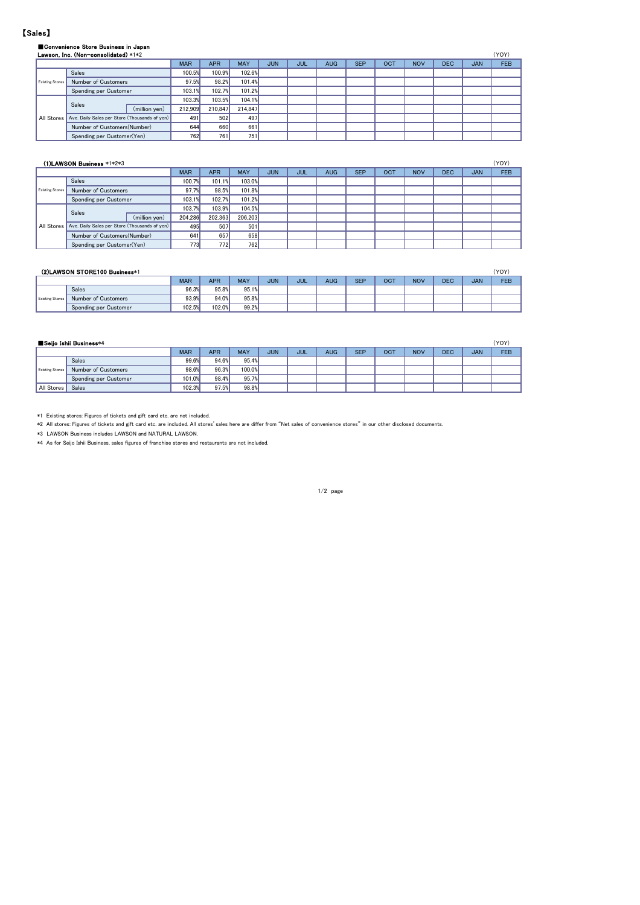### 【Sales】

|                   | Convenience Store Business in Japan           |            |            |            |            |            |            |            |     |            |            |            |            |
|-------------------|-----------------------------------------------|------------|------------|------------|------------|------------|------------|------------|-----|------------|------------|------------|------------|
|                   | Lawson, Inc. (Non-consolidated) *1*2          |            |            |            |            |            |            |            |     |            |            |            | (YOY)      |
|                   |                                               | <b>MAR</b> | <b>APR</b> | <b>MAY</b> | <b>JUN</b> | <b>JUL</b> | <b>AUG</b> | <b>SEP</b> | OCT | <b>NOV</b> | <b>DEC</b> | <b>JAN</b> | <b>FEB</b> |
|                   | Sales                                         | 100.5%     | 100.9%     | 102.6%     |            |            |            |            |     |            |            |            |            |
| Existing Stores   | Number of Customers                           | 97.5%      | 98.2%      | 101.4%     |            |            |            |            |     |            |            |            |            |
|                   | Spending per Customer                         | 103.1%     | 102.7%     | 101.2%     |            |            |            |            |     |            |            |            |            |
|                   | Sales                                         | 103.3%     | 103.5%     | 104.1%     |            |            |            |            |     |            |            |            |            |
|                   | (million yen)                                 | 212.909    | 210.847    | 214.847    |            |            |            |            |     |            |            |            |            |
| <b>All Stores</b> | Ave. Daily Sales per Store (Thousands of yen) | 491        | 502        | 497        |            |            |            |            |     |            |            |            |            |
|                   | Number of Customers(Number)                   | 644        | 660        | 661        |            |            |            |            |     |            |            |            |            |
|                   | Spending per Customer(Yen)                    | 762        | 761        | 751        |            |            |            |            |     |            |            |            |            |

|                        | (1)LAWSON Business *1*2*3                     |               |            |            |            |            |     |            |            |     |            |            |            | (YOY)      |
|------------------------|-----------------------------------------------|---------------|------------|------------|------------|------------|-----|------------|------------|-----|------------|------------|------------|------------|
|                        |                                               |               | <b>MAR</b> | <b>APR</b> | <b>MAY</b> | <b>JUN</b> | JUL | <b>AUG</b> | <b>SEP</b> | OCT | <b>NOV</b> | <b>DEC</b> | <b>JAN</b> | <b>FEB</b> |
|                        | Sales                                         |               | 100.7%     | 101.1%     | 103.0%     |            |     |            |            |     |            |            |            |            |
| <b>Existing Stores</b> | Number of Customers                           |               | 97.7%      | 98.5%      | 101.8%     |            |     |            |            |     |            |            |            |            |
|                        | Spending per Customer                         |               | 103.1%     | 102.7%     | 101.2%     |            |     |            |            |     |            |            |            |            |
|                        | Sales                                         |               | 103.7%     | 103.9%     | 104.5%     |            |     |            |            |     |            |            |            |            |
|                        |                                               | (million yen) | 204.286    | 202.363    | 206.203    |            |     |            |            |     |            |            |            |            |
| All Stores             | Ave. Daily Sales per Store (Thousands of yen) |               | 495        | 507        | 501        |            |     |            |            |     |            |            |            |            |
|                        | Number of Customers(Number)                   |               | 641        | 657        | 658        |            |     |            |            |     |            |            |            |            |
|                        | Spending per Customer(Yen)                    |               | 7731       | 772        | 762        |            |     |            |            |     |            |            |            |            |

|                        | (2)LAWSON STORE100 Business*1 |            |            |            |            |     |            |            |            |            |            |            | (YOY)      |
|------------------------|-------------------------------|------------|------------|------------|------------|-----|------------|------------|------------|------------|------------|------------|------------|
|                        |                               | <b>MAR</b> | <b>APR</b> | <b>MAY</b> | <b>JUN</b> | JUL | <b>AUG</b> | <b>SEP</b> | <b>OCT</b> | <b>NOV</b> | <b>DEC</b> | <b>JAN</b> | <b>FEB</b> |
|                        | Sales                         | 96.3%      | 95.8%      | 95.1%      |            |     |            |            |            |            |            |            |            |
| <b>Existing Stores</b> | Number of Customers           | 93.9%      | 94.0%      | 95.8%      |            |     |            |            |            |            |            |            |            |
|                        | Spending per Customer         | 102.5%     | 102.0%     | 99.2%      |            |     |            |            |            |            |            |            |            |

|                        | ■Seijo Ishii Business*4 |            |            |            |     |     |            |            |     |            |            |            | (YOY) |
|------------------------|-------------------------|------------|------------|------------|-----|-----|------------|------------|-----|------------|------------|------------|-------|
|                        |                         | <b>MAR</b> | <b>APR</b> | <b>MAY</b> | JUN | JUL | <b>AUG</b> | <b>SEP</b> | OCT | <b>NOV</b> | <b>DEC</b> | <b>JAN</b> | FEB   |
|                        | <b>Sales</b>            | 99.6%      | 94.6%      | 95.4%      |     |     |            |            |     |            |            |            |       |
| <b>Existing Stores</b> | Number of Customers     | 98.6%      | 96.3%      | 100.0%     |     |     |            |            |     |            |            |            |       |
|                        | Spending per Customer   | 101.0%     | 98.4%      | 95.7%      |     |     |            |            |     |            |            |            |       |
| All Stores             | Sales                   | 102.3%     | 97.5%      | 98.8%      |     |     |            |            |     |            |            |            |       |

\*1 Existing stores: Figures of tickets and gift card etc. are not included.

\*2 All stores: Figures of tickets and gift card etc. are included. All stores'sales here are differ from "Net sales of convenience stores" in our other disclosed documents.

\*3 LAWSON Business includes LAWSON and NATURAL LAWSON.

\*4 As for Seijo Ishii Business, sales figures of franchise stores and restaurants are not included.

1/2 page